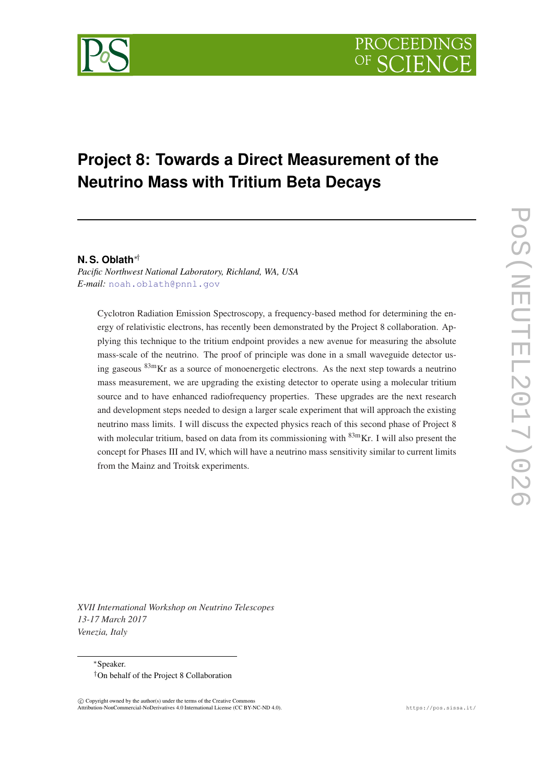# **Project 8: Towards a Direct Measurement of the Neutrino Mass with Tritium Beta Decays**

# **N. S. Oblath**∗†

*Pacific Northwest National Laboratory, Richland, WA, USA E-mail:* [noah.oblath@pnnl.gov](mailto:noah.oblath@pnnl.gov)

Cyclotron Radiation Emission Spectroscopy, a frequency-based method for determining the energy of relativistic electrons, has recently been demonstrated by the Project 8 collaboration. Applying this technique to the tritium endpoint provides a new avenue for measuring the absolute mass-scale of the neutrino. The proof of principle was done in a small waveguide detector using gaseous 83mKr as a source of monoenergetic electrons. As the next step towards a neutrino mass measurement, we are upgrading the existing detector to operate using a molecular tritium source and to have enhanced radiofrequency properties. These upgrades are the next research and development steps needed to design a larger scale experiment that will approach the existing neutrino mass limits. I will discuss the expected physics reach of this second phase of Project 8 with molecular tritium, based on data from its commissioning with  $83mKr$ . I will also present the concept for Phases III and IV, which will have a neutrino mass sensitivity similar to current limits from the Mainz and Troitsk experiments.

*XVII International Workshop on Neutrino Telescopes 13-17 March 2017 Venezia, Italy*

<sup>∗</sup>Speaker. †On behalf of the Project 8 Collaboration

 $\overline{c}$  Copyright owned by the author(s) under the terms of the Creative Common Attribution-NonCommercial-NoDerivatives 4.0 International License (CC BY-NC-ND 4.0). https://pos.sissa.it/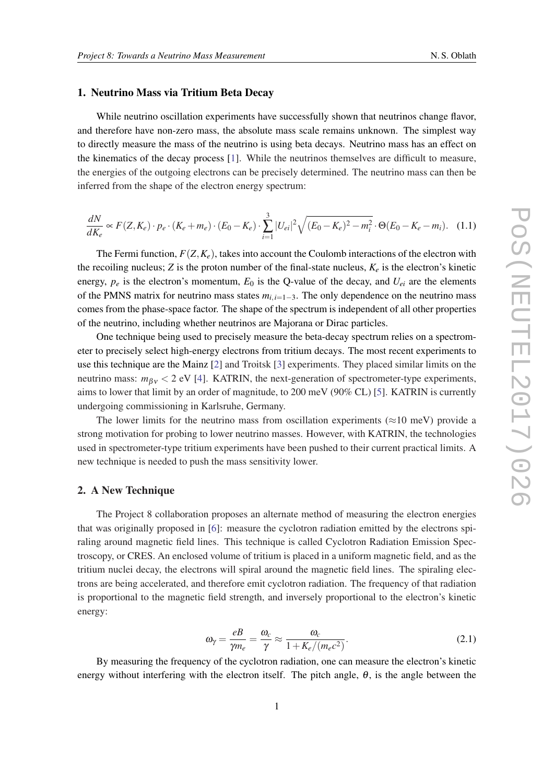#### <span id="page-1-0"></span>1. Neutrino Mass via Tritium Beta Decay

While neutrino oscillation experiments have successfully shown that neutrinos change flavor, and therefore have non-zero mass, the absolute mass scale remains unknown. The simplest way to directly measure the mass of the neutrino is using beta decays. Neutrino mass has an effect on the kinematics of the decay process [[1](#page-9-0)]. While the neutrinos themselves are difficult to measure, the energies of the outgoing electrons can be precisely determined. The neutrino mass can then be inferred from the shape of the electron energy spectrum:

$$
\frac{dN}{dK_e} \propto F(Z, K_e) \cdot p_e \cdot (K_e + m_e) \cdot (E_0 - K_e) \cdot \sum_{i=1}^3 |U_{ei}|^2 \sqrt{(E_0 - K_e)^2 - m_i^2} \cdot \Theta(E_0 - K_e - m_i). \tag{1.1}
$$

The Fermi function,  $F(Z, K_e)$ , takes into account the Coulomb interactions of the electron with the recoiling nucleus; *Z* is the proton number of the final-state nucleus,  $K_e$  is the electron's kinetic energy,  $p_e$  is the electron's momentum,  $E_0$  is the Q-value of the decay, and  $U_{ei}$  are the elements of the PMNS matrix for neutrino mass states *mi*,*i*=1−3. The only dependence on the neutrino mass comes from the phase-space factor. The shape of the spectrum is independent of all other properties of the neutrino, including whether neutrinos are Majorana or Dirac particles.

One technique being used to precisely measure the beta-decay spectrum relies on a spectrometer to precisely select high-energy electrons from tritium decays. The most recent experiments to use this technique are the Mainz [\[2\]](#page-9-0) and Troitsk [[3](#page-9-0)] experiments. They placed similar limits on the neutrino mass:  $m_{\beta y}$  < 2 eV [\[4\]](#page-9-0). KATRIN, the next-generation of spectrometer-type experiments, aims to lower that limit by an order of magnitude, to 200 meV (90% CL) [\[5\]](#page-9-0). KATRIN is currently undergoing commissioning in Karlsruhe, Germany.

The lower limits for the neutrino mass from oscillation experiments ( $\approx$ 10 meV) provide a strong motivation for probing to lower neutrino masses. However, with KATRIN, the technologies used in spectrometer-type tritium experiments have been pushed to their current practical limits. A new technique is needed to push the mass sensitivity lower.

#### 2. A New Technique

The Project 8 collaboration proposes an alternate method of measuring the electron energies that was originally proposed in [\[6\]](#page-9-0): measure the cyclotron radiation emitted by the electrons spiraling around magnetic field lines. This technique is called Cyclotron Radiation Emission Spectroscopy, or CRES. An enclosed volume of tritium is placed in a uniform magnetic field, and as the tritium nuclei decay, the electrons will spiral around the magnetic field lines. The spiraling electrons are being accelerated, and therefore emit cyclotron radiation. The frequency of that radiation is proportional to the magnetic field strength, and inversely proportional to the electron's kinetic energy:

$$
\omega_{\gamma} = \frac{eB}{\gamma m_e} = \frac{\omega_c}{\gamma} \approx \frac{\omega_c}{1 + K_e / (m_e c^2)}.
$$
\n(2.1)

By measuring the frequency of the cyclotron radiation, one can measure the electron's kinetic energy without interfering with the electron itself. The pitch angle,  $\theta$ , is the angle between the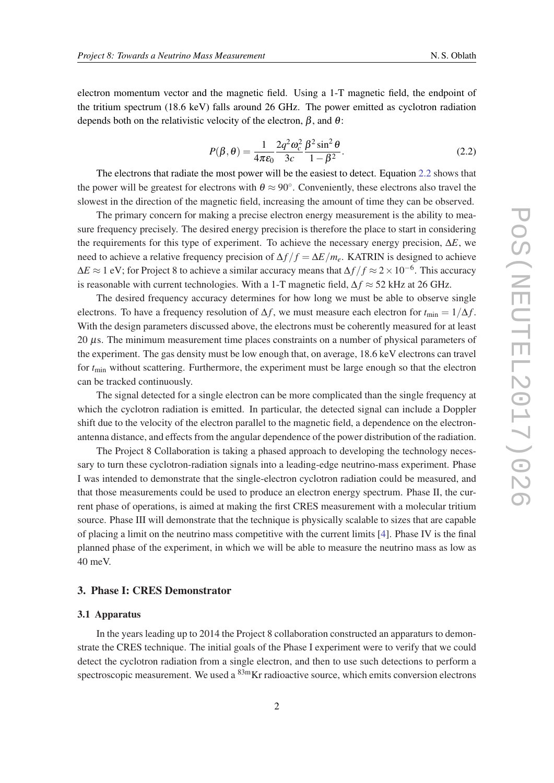electron momentum vector and the magnetic field. Using a 1-T magnetic field, the endpoint of the tritium spectrum (18.6 keV) falls around 26 GHz. The power emitted as cyclotron radiation depends both on the relativistic velocity of the electron,  $\beta$ , and  $\theta$ :

$$
P(\beta,\theta) = \frac{1}{4\pi\epsilon_0} \frac{2q^2 \omega_c^2}{3c} \frac{\beta^2 \sin^2 \theta}{1 - \beta^2}.
$$
 (2.2)

The electrons that radiate the most power will be the easiest to detect. Equation 2.2 shows that the power will be greatest for electrons with  $\theta \approx 90^\circ$ . Conveniently, these electrons also travel the slowest in the direction of the magnetic field, increasing the amount of time they can be observed.

The primary concern for making a precise electron energy measurement is the ability to measure frequency precisely. The desired energy precision is therefore the place to start in considering the requirements for this type of experiment. To achieve the necessary energy precision, ∆*E*, we need to achieve a relative frequency precision of  $\Delta f/f = \Delta E/m_e$ . KATRIN is designed to achieve ∆*E* ≈ 1 eV; for Project 8 to achieve a similar accuracy means that ∆*f* / *f* ≈ 2×10−<sup>6</sup> . This accuracy is reasonable with current technologies. With a 1-T magnetic field,  $\Delta f \approx 52$  kHz at 26 GHz.

The desired frequency accuracy determines for how long we must be able to observe single electrons. To have a frequency resolution of  $\Delta f$ , we must measure each electron for  $t_{\rm min} = 1/\Delta f$ . With the design parameters discussed above, the electrons must be coherently measured for at least 20 µs. The minimum measurement time places constraints on a number of physical parameters of the experiment. The gas density must be low enough that, on average, 18.6 keV electrons can travel for  $t_{\text{min}}$  without scattering. Furthermore, the experiment must be large enough so that the electron can be tracked continuously.

The signal detected for a single electron can be more complicated than the single frequency at which the cyclotron radiation is emitted. In particular, the detected signal can include a Doppler shift due to the velocity of the electron parallel to the magnetic field, a dependence on the electronantenna distance, and effects from the angular dependence of the power distribution of the radiation.

The Project 8 Collaboration is taking a phased approach to developing the technology necessary to turn these cyclotron-radiation signals into a leading-edge neutrino-mass experiment. Phase I was intended to demonstrate that the single-electron cyclotron radiation could be measured, and that those measurements could be used to produce an electron energy spectrum. Phase II, the current phase of operations, is aimed at making the first CRES measurement with a molecular tritium source. Phase III will demonstrate that the technique is physically scalable to sizes that are capable of placing a limit on the neutrino mass competitive with the current limits [\[4\]](#page-9-0). Phase IV is the final planned phase of the experiment, in which we will be able to measure the neutrino mass as low as 40 meV.

### 3. Phase I: CRES Demonstrator

#### 3.1 Apparatus

In the years leading up to 2014 the Project 8 collaboration constructed an apparaturs to demonstrate the CRES technique. The initial goals of the Phase I experiment were to verify that we could detect the cyclotron radiation from a single electron, and then to use such detections to perform a spectroscopic measurement. We used a  $83m$ Kr radioactive source, which emits conversion electrons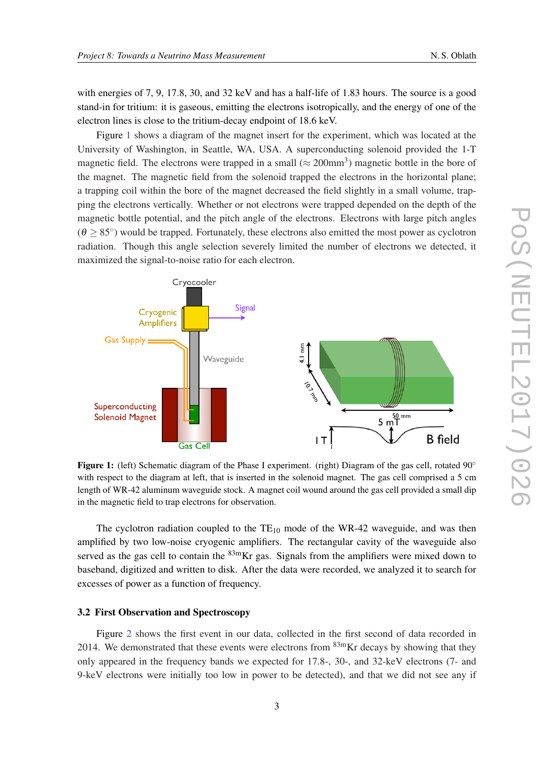with energies of 7, 9, 17.8, 30, and 32 keV and has a half-life of 1.83 hours. The source is a good stand-in for tritium: it is gaseous, emitting the electrons isotropically, and the energy of one of the electron lines is close to the tritium-decay endpoint of 18.6 keV.

Figure 1 shows a diagram of the magnet insert for the experiment, which was located at the University of Washington, in Seattle, WA, USA. A superconducting solenoid provided the 1-T magnetic field. The electrons were trapped in a small ( $\approx 200$ mm<sup>3</sup>) magnetic bottle in the bore of the magnet. The magnetic field from the solenoid trapped the electrons in the horizontal plane; a trapping coil within the bore of the magnet decreased the field slightly in a small volume, trapping the electrons vertically. Whether or not electrons were trapped depended on the depth of the magnetic bottle potential, and the pitch angle of the electrons. Electrons with large pitch angles  $(\theta \ge 85^{\circ})$  would be trapped. Fortunately, these electrons also emitted the most power as cyclotron radiation. Though this angle selection severely limited the number of electrons we detected, it maximized the signal-to-noise ratio for each electron.



**Figure 1:** (left) Schematic diagram of the Phase I experiment. (right) Diagram of the gas cell, rotated  $90^\circ$ with respect to the diagram at left, that is inserted in the solenoid magnet. The gas cell comprised a 5 cm length of WR-42 aluminum waveguide stock. A magnet coil wound around the gas cell provided a small dip in the magnetic field to trap electrons for observation.

The cyclotron radiation coupled to the  $TE_{10}$  mode of the WR-42 waveguide, and was then amplified by two low-noise cryogenic amplifiers. The rectangular cavity of the waveguide also served as the gas cell to contain the  $83m$ Kr gas. Signals from the amplifiers were mixed down to baseband, digitized and written to disk. After the data were recorded, we analyzed it to search for excesses of power as a function of frequency.

#### 3.2 First Observation and Spectroscopy

Figure [2](#page-4-0) shows the first event in our data, collected in the first second of data recorded in 2014. We demonstrated that these events were electrons from  $83m$ Kr decays by showing that they only appeared in the frequency bands we expected for 17.8-, 30-, and 32-keV electrons (7- and 9-keV electrons were initially too low in power to be detected), and that we did not see any if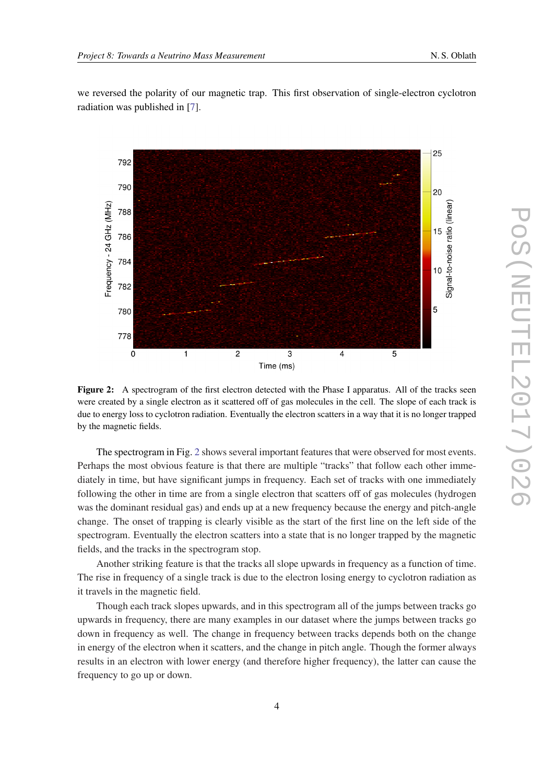<span id="page-4-0"></span>we reversed the polarity of our magnetic trap. This first observation of single-electron cyclotron radiation was published in [\[7\]](#page-10-0).



Figure 2: A spectrogram of the first electron detected with the Phase I apparatus. All of the tracks seen were created by a single electron as it scattered off of gas molecules in the cell. The slope of each track is due to energy loss to cyclotron radiation. Eventually the electron scatters in a way that it is no longer trapped by the magnetic fields.

The spectrogram in Fig. 2 shows several important features that were observed for most events. Perhaps the most obvious feature is that there are multiple "tracks" that follow each other immediately in time, but have significant jumps in frequency. Each set of tracks with one immediately following the other in time are from a single electron that scatters off of gas molecules (hydrogen was the dominant residual gas) and ends up at a new frequency because the energy and pitch-angle change. The onset of trapping is clearly visible as the start of the first line on the left side of the spectrogram. Eventually the electron scatters into a state that is no longer trapped by the magnetic fields, and the tracks in the spectrogram stop.

Another striking feature is that the tracks all slope upwards in frequency as a function of time. The rise in frequency of a single track is due to the electron losing energy to cyclotron radiation as it travels in the magnetic field.

Though each track slopes upwards, and in this spectrogram all of the jumps between tracks go upwards in frequency, there are many examples in our dataset where the jumps between tracks go down in frequency as well. The change in frequency between tracks depends both on the change in energy of the electron when it scatters, and the change in pitch angle. Though the former always results in an electron with lower energy (and therefore higher frequency), the latter can cause the frequency to go up or down.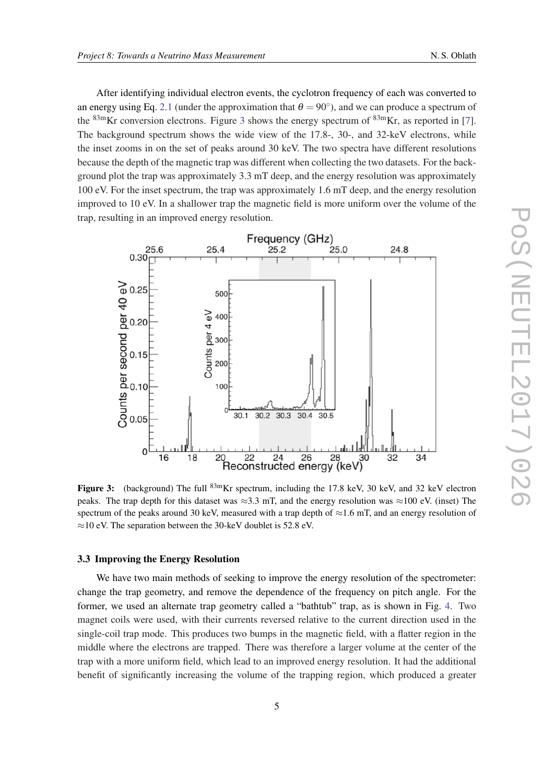After identifying individual electron events, the cyclotron frequency of each was converted to an energy using Eq. [2.1](#page-1-0) (under the approximation that  $\theta = 90^{\circ}$ ), and we can produce a spectrum of the  $83m$ Kr conversion electrons. Figure 3 shows the energy spectrum of  $83m$ Kr, as reported in [\[7\]](#page-10-0). The background spectrum shows the wide view of the 17.8-, 30-, and 32-keV electrons, while the inset zooms in on the set of peaks around 30 keV. The two spectra have different resolutions because the depth of the magnetic trap was different when collecting the two datasets. For the background plot the trap was approximately 3.3 mT deep, and the energy resolution was approximately 100 eV. For the inset spectrum, the trap was approximately 1.6 mT deep, and the energy resolution improved to 10 eV. In a shallower trap the magnetic field is more uniform over the volume of the trap, resulting in an improved energy resolution.



Figure 3: (background) The full <sup>83m</sup>Kr spectrum, including the 17.8 keV, 30 keV, and 32 keV electron peaks. The trap depth for this dataset was  $\approx 3.3$  mT, and the energy resolution was  $\approx 100$  eV. (inset) The spectrum of the peaks around 30 keV, measured with a trap depth of  $\approx$ 1.6 mT, and an energy resolution of  $\approx$ 10 eV. The separation between the 30-keV doublet is 52.8 eV.

### 3.3 Improving the Energy Resolution

We have two main methods of seeking to improve the energy resolution of the spectrometer: change the trap geometry, and remove the dependence of the frequency on pitch angle. For the former, we used an alternate trap geometry called a "bathtub" trap, as is shown in Fig. [4.](#page-6-0) Two magnet coils were used, with their currents reversed relative to the current direction used in the single-coil trap mode. This produces two bumps in the magnetic field, with a flatter region in the middle where the electrons are trapped. There was therefore a larger volume at the center of the trap with a more uniform field, which lead to an improved energy resolution. It had the additional benefit of significantly increasing the volume of the trapping region, which produced a greater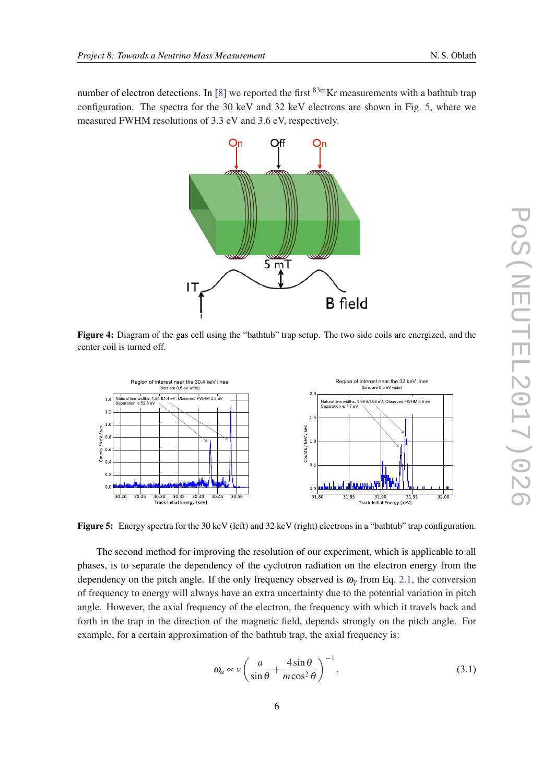<span id="page-6-0"></span>number of electron detections. In [[8\]](#page-10-0) we reported the first  $83m$ Kr measurements with a bathtub trap configuration. The spectra for the 30 keV and 32 keV electrons are shown in Fig. 5, where we measured FWHM resolutions of 3.3 eV and 3.6 eV, respectively.



Figure 4: Diagram of the gas cell using the "bathtub" trap setup. The two side coils are energized, and the center coil is turned off.



Figure 5: Energy spectra for the 30 keV (left) and 32 keV (right) electrons in a "bathtub" trap configuration.

The second method for improving the resolution of our experiment, which is applicable to all phases, is to separate the dependency of the cyclotron radiation on the electron energy from the dependency on the pitch angle. If the only frequency observed is  $\omega_{\gamma}$  from Eq. [2.1,](#page-1-0) the conversion of frequency to energy will always have an extra uncertainty due to the potential variation in pitch angle. However, the axial frequency of the electron, the frequency with which it travels back and forth in the trap in the direction of the magnetic field, depends strongly on the pitch angle. For example, for a certain approximation of the bathtub trap, the axial frequency is:

$$
\omega_a \propto v \left( \frac{a}{\sin \theta} + \frac{4 \sin \theta}{m \cos^2 \theta} \right)^{-1},\tag{3.1}
$$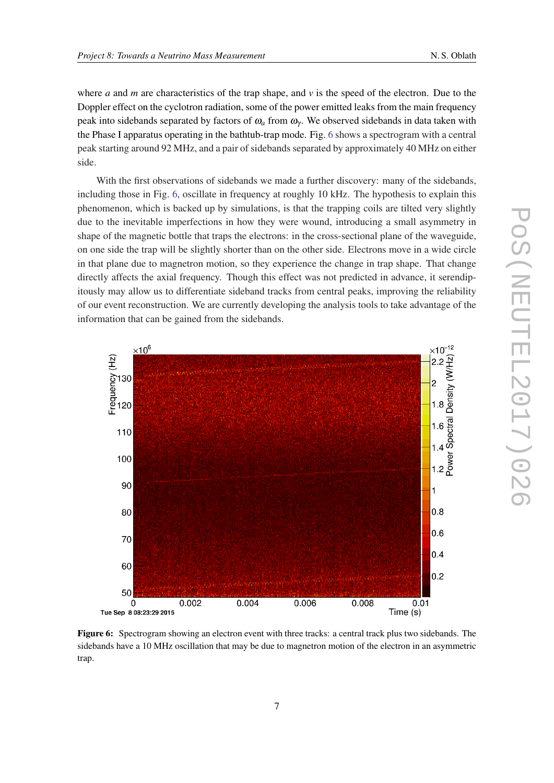where *a* and *m* are characteristics of the trap shape, and  $\nu$  is the speed of the electron. Due to the Doppler effect on the cyclotron radiation, some of the power emitted leaks from the main frequency peak into sidebands separated by factors of  $\omega_a$  from  $\omega_\gamma$ . We observed sidebands in data taken with the Phase I apparatus operating in the bathtub-trap mode. Fig. 6 shows a spectrogram with a central peak starting around 92 MHz, and a pair of sidebands separated by approximately 40 MHz on either side.

With the first observations of sidebands we made a further discovery: many of the sidebands, including those in Fig. 6, oscillate in frequency at roughly 10 kHz. The hypothesis to explain this phenomenon, which is backed up by simulations, is that the trapping coils are tilted very slightly due to the inevitable imperfections in how they were wound, introducing a small asymmetry in shape of the magnetic bottle that traps the electrons: in the cross-sectional plane of the waveguide, on one side the trap will be slightly shorter than on the other side. Electrons move in a wide circle in that plane due to magnetron motion, so they experience the change in trap shape. That change directly affects the axial frequency. Though this effect was not predicted in advance, it serendipitously may allow us to differentiate sideband tracks from central peaks, improving the reliability of our event reconstruction. We are currently developing the analysis tools to take advantage of the information that can be gained from the sidebands.



Figure 6: Spectrogram showing an electron event with three tracks: a central track plus two sidebands. The sidebands have a 10 MHz oscillation that may be due to magnetron motion of the electron in an asymmetric trap.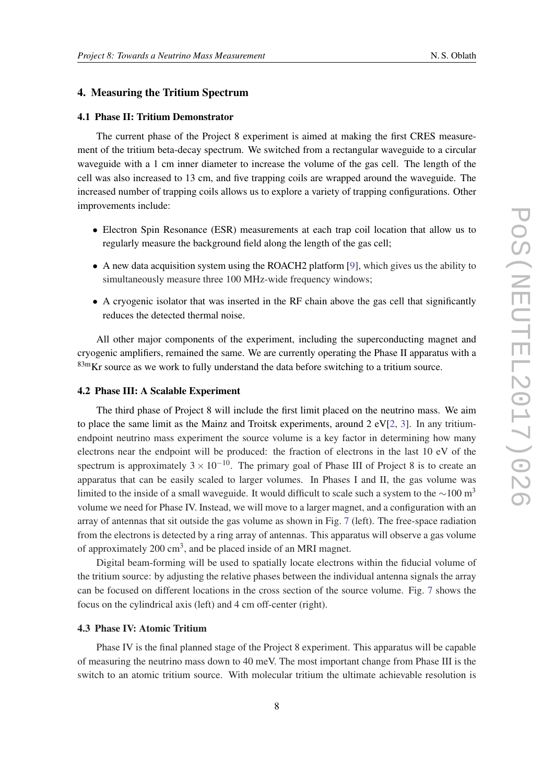### 4. Measuring the Tritium Spectrum

#### 4.1 Phase II: Tritium Demonstrator

The current phase of the Project 8 experiment is aimed at making the first CRES measurement of the tritium beta-decay spectrum. We switched from a rectangular waveguide to a circular waveguide with a 1 cm inner diameter to increase the volume of the gas cell. The length of the cell was also increased to 13 cm, and five trapping coils are wrapped around the waveguide. The increased number of trapping coils allows us to explore a variety of trapping configurations. Other improvements include:

- Electron Spin Resonance (ESR) measurements at each trap coil location that allow us to regularly measure the background field along the length of the gas cell;
- A new data acquisition system using the ROACH2 platform [\[9\]](#page-10-0), which gives us the ability to simultaneously measure three 100 MHz-wide frequency windows;
- A cryogenic isolator that was inserted in the RF chain above the gas cell that significantly reduces the detected thermal noise.

All other major components of the experiment, including the superconducting magnet and cryogenic amplifiers, remained the same. We are currently operating the Phase II apparatus with a  $83m$ Kr source as we work to fully understand the data before switching to a tritium source.

#### 4.2 Phase III: A Scalable Experiment

The third phase of Project 8 will include the first limit placed on the neutrino mass. We aim to place the same limit as the Mainz and Troitsk experiments, around  $2 \text{ eV}$ [\[2,](#page-9-0) [3\]](#page-9-0). In any tritiumendpoint neutrino mass experiment the source volume is a key factor in determining how many electrons near the endpoint will be produced: the fraction of electrons in the last 10 eV of the spectrum is approximately  $3 \times 10^{-10}$ . The primary goal of Phase III of Project 8 is to create an apparatus that can be easily scaled to larger volumes. In Phases I and II, the gas volume was limited to the inside of a small waveguide. It would difficult to scale such a system to the  $\sim$ 100 m<sup>3</sup> volume we need for Phase IV. Instead, we will move to a larger magnet, and a configuration with an array of antennas that sit outside the gas volume as shown in Fig. [7](#page-9-0) (left). The free-space radiation from the electrons is detected by a ring array of antennas. This apparatus will observe a gas volume of approximately 200  $\text{cm}^3$ , and be placed inside of an MRI magnet.

Digital beam-forming will be used to spatially locate electrons within the fiducial volume of the tritium source: by adjusting the relative phases between the individual antenna signals the array can be focused on different locations in the cross section of the source volume. Fig. [7](#page-9-0) shows the focus on the cylindrical axis (left) and 4 cm off-center (right).

#### 4.3 Phase IV: Atomic Tritium

Phase IV is the final planned stage of the Project 8 experiment. This apparatus will be capable of measuring the neutrino mass down to 40 meV. The most important change from Phase III is the switch to an atomic tritium source. With molecular tritium the ultimate achievable resolution is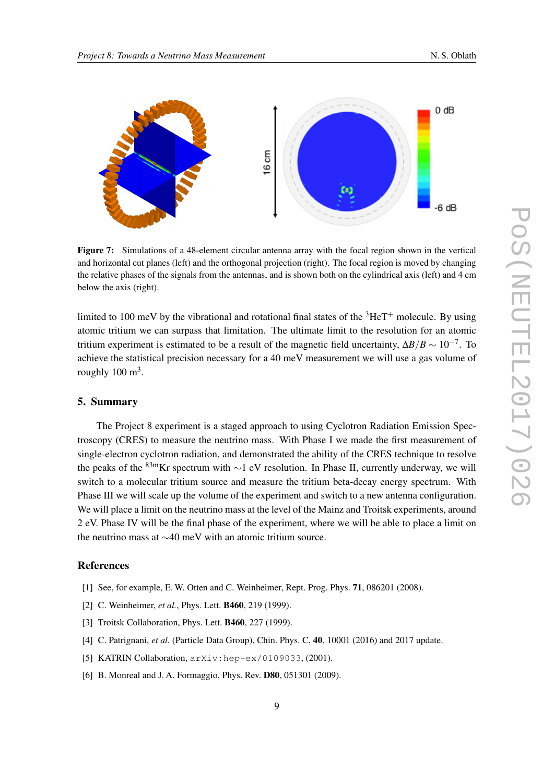<span id="page-9-0"></span>

Figure 7: Simulations of a 48-element circular antenna array with the focal region shown in the vertical and horizontal cut planes (left) and the orthogonal projection (right). The focal region is moved by changing the relative phases of the signals from the antennas, and is shown both on the cylindrical axis (left) and 4 cm below the axis (right).

limited to 100 meV by the vibrational and rotational final states of the  ${}^{3}HeT^{+}$  molecule. By using atomic tritium we can surpass that limitation. The ultimate limit to the resolution for an atomic tritium experiment is estimated to be a result of the magnetic field uncertainty,  $\Delta B/B \sim 10^{-7}$ . To achieve the statistical precision necessary for a 40 meV measurement we will use a gas volume of roughly  $100 \text{ m}^3$ .

# 5. Summary

The Project 8 experiment is a staged approach to using Cyclotron Radiation Emission Spectroscopy (CRES) to measure the neutrino mass. With Phase I we made the first measurement of single-electron cyclotron radiation, and demonstrated the ability of the CRES technique to resolve the peaks of the  $83mKr$  spectrum with ∼1 eV resolution. In Phase II, currently underway, we will switch to a molecular tritium source and measure the tritium beta-decay energy spectrum. With Phase III we will scale up the volume of the experiment and switch to a new antenna configuration. We will place a limit on the neutrino mass at the level of the Mainz and Troitsk experiments, around 2 eV. Phase IV will be the final phase of the experiment, where we will be able to place a limit on the neutrino mass at ∼40 meV with an atomic tritium source.

## References

- [1] See, for example, E. W. Otten and C. Weinheimer, Rept. Prog. Phys. **71**, 086201 (2008).
- [2] C. Weinheimer, *et al.*, Phys. Lett. **B460**, 219 (1999).
- [3] Troitsk Collaboration, Phys. Lett. **B460**, 227 (1999).
- [4] C. Patrignani, *et al.* (Particle Data Group), Chin. Phys. C, 40, 10001 (2016) and 2017 update.
- [5] KATRIN Collaboration,  $arXiv:hep-ex/0109033$ , (2001).
- [6] B. Monreal and J. A. Formaggio, Phys. Rev. **D80**, 051301 (2009).